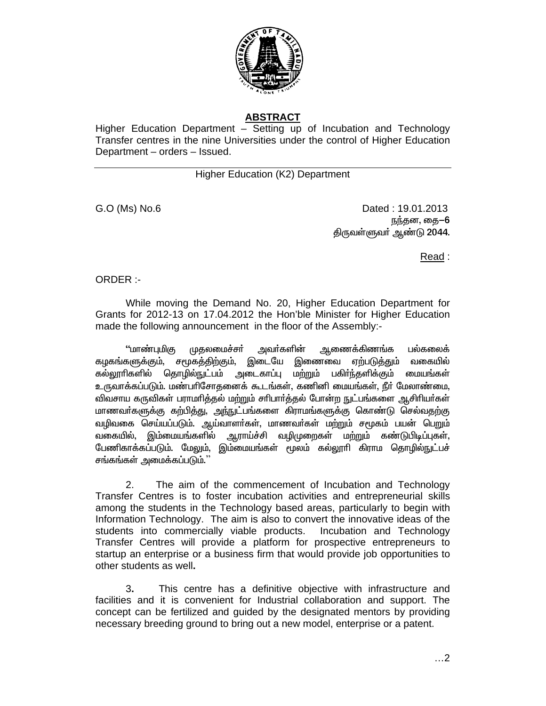

# **ABSTRACT**

Higher Education Department – Setting up of Incubation and Technology Transfer centres in the nine Universities under the control of Higher Education Department - orders - Issued.

## **Higher Education (K2) Department**

G.O (Ms) No.6

Dated: 19.01.2013 நந்தன, தை-6 திருவள்ளுவர் ஆண்டு 2044.

Read:

ORDER:-

While moving the Demand No. 20, Higher Education Department for Grants for 2012-13 on 17.04.2012 the Hon'ble Minister for Higher Education made the following announcement in the floor of the Assembly:-

''மாண்புமிகு பல்கலைக் முதலமைச்சர் அவா்களின் ஆணைக்கிணங்க கழகங்களுக்கும், சமூகத்திற்கும், இடையே இணைவை ஏற்படுத்தும் வகையில் கல்லூரிகளில் தொழில்நுட்பம் அடைகாப்பு மற்றும் பகிர்ந்தளிக்கும் மையங்கள் உருவாக்கப்படும். மண்பரிசோதனைக் கூடங்கள், கணினி மையங்கள், நீர் மேலாண்மை, விவசாய கருவிகள் பராமரிக்கல் மற்றும் சரிபார்க்கல் போன்ற நுட்பங்களை ஆசிரியர்கள் மாணவா்களுக்கு கற்பித்து, அந்நுட்பங்களை கிராமங்களுக்கு கொண்டு செல்வதற்கு வழிவகை செய்யப்படும். ஆய்வாளர்கள், மாணவர்கள் மற்றும் சமூகம் பயன் பெறும் வகையில், இம்மையங்களில் ் ஆராய்ச்சி வழிமுறைகள் மற்றும் கண்டுபிடிப்புகள், பேணிகாக்கப்படும். மேலும், இம்மையங்கள் மூலம் கல்லூரி கிராம தொழில்நுட்பச் சங்கங்கள் அமைக்கப்படும்.''

 $2.$ The aim of the commencement of Incubation and Technology Transfer Centres is to foster incubation activities and entrepreneurial skills among the students in the Technology based areas, particularly to begin with Information Technology. The aim is also to convert the innovative ideas of the students into commercially viable products. Incubation and Technology Transfer Centres will provide a platform for prospective entrepreneurs to startup an enterprise or a business firm that would provide job opportunities to other students as well.

3. This centre has a definitive objective with infrastructure and facilities and it is convenient for Industrial collaboration and support. The concept can be fertilized and guided by the designated mentors by providing necessary breeding ground to bring out a new model, enterprise or a patent.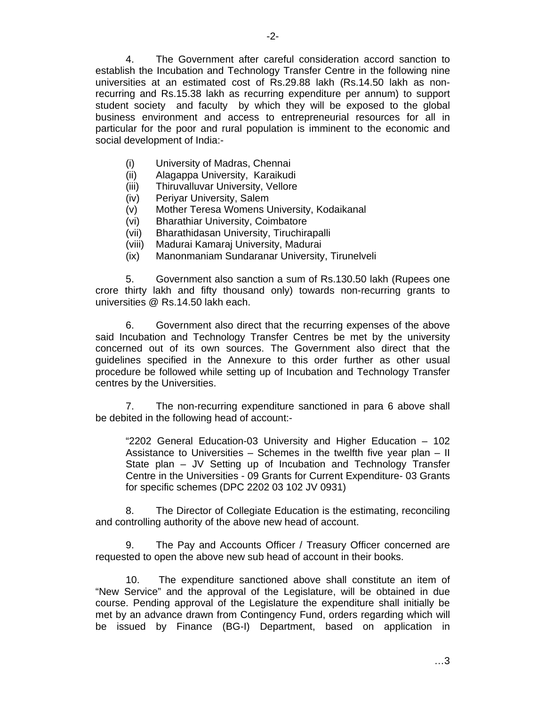4. The Government after careful consideration accord sanction to establish the Incubation and Technology Transfer Centre in the following nine universities at an estimated cost of Rs.29.88 lakh (Rs.14.50 lakh as nonrecurring and Rs.15.38 lakh as recurring expenditure per annum) to support student society and faculty by which they will be exposed to the global business environment and access to entrepreneurial resources for all in particular for the poor and rural population is imminent to the economic and social development of India:-

- (i) University of Madras, Chennai
- (ii) Alagappa University, Karaikudi
- (iii) Thiruvalluvar University, Vellore
- (iv) Periyar University, Salem
- (v) Mother Teresa Womens University, Kodaikanal
- (vi) Bharathiar University, Coimbatore
- (vii) Bharathidasan University, Tiruchirapalli
- (viii) Madurai Kamaraj University, Madurai
- (ix) Manonmaniam Sundaranar University, Tirunelveli

 5. Government also sanction a sum of Rs.130.50 lakh (Rupees one crore thirty lakh and fifty thousand only) towards non-recurring grants to universities @ Rs.14.50 lakh each.

 6. Government also direct that the recurring expenses of the above said Incubation and Technology Transfer Centres be met by the university concerned out of its own sources. The Government also direct that the guidelines specified in the Annexure to this order further as other usual procedure be followed while setting up of Incubation and Technology Transfer centres by the Universities.

 7. The non-recurring expenditure sanctioned in para 6 above shall be debited in the following head of account:-

"2202 General Education-03 University and Higher Education – 102 Assistance to Universities – Schemes in the twelfth five year plan – II State plan – JV Setting up of Incubation and Technology Transfer Centre in the Universities - 09 Grants for Current Expenditure- 03 Grants for specific schemes (DPC 2202 03 102 JV 0931)

8. The Director of Collegiate Education is the estimating, reconciling and controlling authority of the above new head of account.

9. The Pay and Accounts Officer / Treasury Officer concerned are requested to open the above new sub head of account in their books.

10. The expenditure sanctioned above shall constitute an item of "New Service" and the approval of the Legislature, will be obtained in due course. Pending approval of the Legislature the expenditure shall initially be met by an advance drawn from Contingency Fund, orders regarding which will be issued by Finance (BG-I) Department, based on application in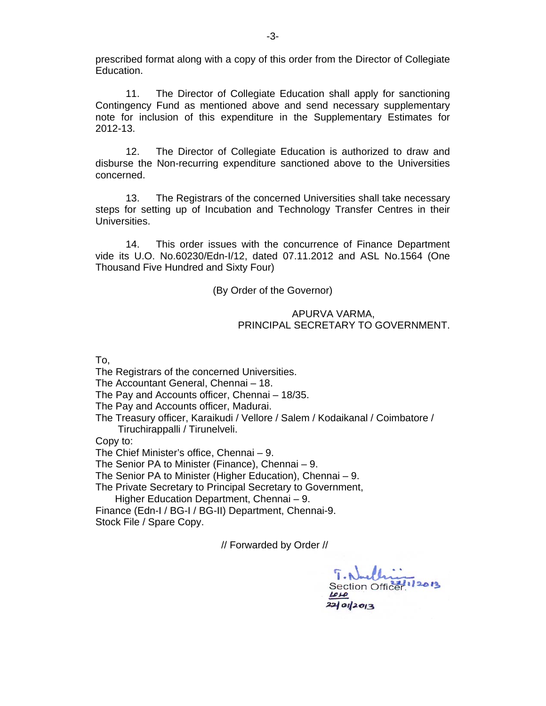prescribed format along with a copy of this order from the Director of Collegiate Education.

 11. The Director of Collegiate Education shall apply for sanctioning Contingency Fund as mentioned above and send necessary supplementary note for inclusion of this expenditure in the Supplementary Estimates for 2012-13.

 12. The Director of Collegiate Education is authorized to draw and disburse the Non-recurring expenditure sanctioned above to the Universities concerned.

 13. The Registrars of the concerned Universities shall take necessary steps for setting up of Incubation and Technology Transfer Centres in their Universities.

 14. This order issues with the concurrence of Finance Department vide its U.O. No.60230/Edn-I/12, dated 07.11.2012 and ASL No.1564 (One Thousand Five Hundred and Sixty Four)

#### (By Order of the Governor)

#### APURVA VARMA, PRINCIPAL SECRETARY TO GOVERNMENT.

To,

The Registrars of the concerned Universities.

The Accountant General, Chennai – 18.

The Pay and Accounts officer, Chennai – 18/35.

The Pay and Accounts officer, Madurai.

The Treasury officer, Karaikudi / Vellore / Salem / Kodaikanal / Coimbatore / Tiruchirappalli / Tirunelveli.

Copy to:

The Chief Minister's office, Chennai – 9.

The Senior PA to Minister (Finance), Chennai – 9.

The Senior PA to Minister (Higher Education), Chennai – 9.

The Private Secretary to Principal Secretary to Government,

Higher Education Department, Chennai – 9.

Finance (Edn-I / BG-I / BG-II) Department, Chennai-9. Stock File / Spare Copy.

// Forwarded by Order //

Section Office  $221012013$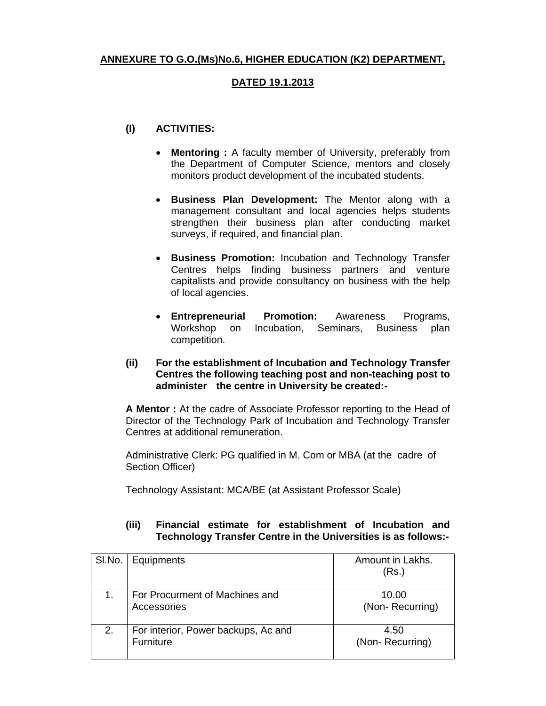## **ANNEXURE TO G.O.(Ms)No.6, HIGHER EDUCATION (K2) DEPARTMENT,**

#### **DATED 19.1.2013**

## **(I) ACTIVITIES:**

- **Mentoring :** A faculty member of University, preferably from the Department of Computer Science, mentors and closely monitors product development of the incubated students.
- **Business Plan Development:** The Mentor along with a management consultant and local agencies helps students strengthen their business plan after conducting market surveys, if required, and financial plan.
- **Business Promotion:** Incubation and Technology Transfer Centres helps finding business partners and venture capitalists and provide consultancy on business with the help of local agencies.
- **Entrepreneurial Promotion:** Awareness Programs, Workshop on Incubation, Seminars, Business plan competition.
- **(ii) For the establishment of Incubation and Technology Transfer Centres the following teaching post and non-teaching post to administer the centre in University be created:-**

**A Mentor :** At the cadre of Associate Professor reporting to the Head of Director of the Technology Park of Incubation and Technology Transfer Centres at additional remuneration.

Administrative Clerk: PG qualified in M. Com or MBA (at the cadre of Section Officer)

Technology Assistant: MCA/BE (at Assistant Professor Scale)

#### **(iii) Financial estimate for establishment of Incubation and Technology Transfer Centre in the Universities is as follows:-**

| SI.No. | Equipments                                       | Amount in Lakhs.<br>(Rs.) |
|--------|--------------------------------------------------|---------------------------|
|        | For Procurment of Machines and<br>Accessories    | 10.00<br>(Non-Recurring)  |
| 2.     | For interior, Power backups, Ac and<br>Furniture | 4.50<br>(Non-Recurring)   |